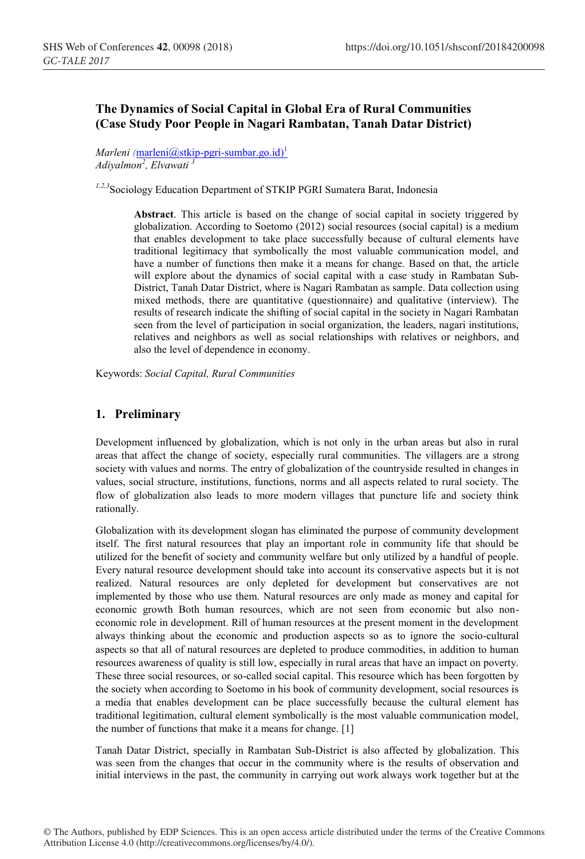# **The Dynamics of Social Capital in Global Era of Rural Communities (Case Study Poor People in Nagari Rambatan, Tanah Datar District)**

*Marleni* (marleni@stkip-pgri-sumbar.go.id)<sup>1</sup> *Adiyalmon<sup>2</sup> , Elvawati <sup>3</sup>*

*1,2,3*Sociology Education Department of STKIP PGRI Sumatera Barat, Indonesia

**Abstract**. This article is based on the change of social capital in society triggered by globalization. According to Soetomo (2012) social resources (social capital) is a medium that enables development to take place successfully because of cultural elements have traditional legitimacy that symbolically the most valuable communication model, and have a number of functions then make it a means for change. Based on that, the article will explore about the dynamics of social capital with a case study in Rambatan Sub-District, Tanah Datar District, where is Nagari Rambatan as sample. Data collection using mixed methods, there are quantitative (questionnaire) and qualitative (interview). The results of research indicate the shifting of social capital in the society in Nagari Rambatan seen from the level of participation in social organization, the leaders, nagari institutions, relatives and neighbors as well as social relationships with relatives or neighbors, and also the level of dependence in economy.

Keywords: *Social Capital, Rural Communities*

## **1. Preliminary**

Development influenced by globalization, which is not only in the urban areas but also in rural areas that affect the change of society, especially rural communities. The villagers are a strong society with values and norms. The entry of globalization of the countryside resulted in changes in values, social structure, institutions, functions, norms and all aspects related to rural society. The flow of globalization also leads to more modern villages that puncture life and society think rationally.

Globalization with its development slogan has eliminated the purpose of community development itself. The first natural resources that play an important role in community life that should be utilized for the benefit of society and community welfare but only utilized by a handful of people. Every natural resource development should take into account its conservative aspects but it is not realized. Natural resources are only depleted for development but conservatives are not implemented by those who use them. Natural resources are only made as money and capital for economic growth Both human resources, which are not seen from economic but also noneconomic role in development. Rill of human resources at the present moment in the development always thinking about the economic and production aspects so as to ignore the socio-cultural aspects so that all of natural resources are depleted to produce commodities, in addition to human resources awareness of quality is still low, especially in rural areas that have an impact on poverty. These three social resources, or so-called social capital. This resource which has been forgotten by the society when according to Soetomo in his book of community development, social resources is a media that enables development can be place successfully because the cultural element has traditional legitimation, cultural element symbolically is the most valuable communication model, the number of functions that make it a means for change. [1]

Tanah Datar District, specially in Rambatan Sub-District is also affected by globalization. This was seen from the changes that occur in the community where is the results of observation and initial interviews in the past, the community in carrying out work always work together but at the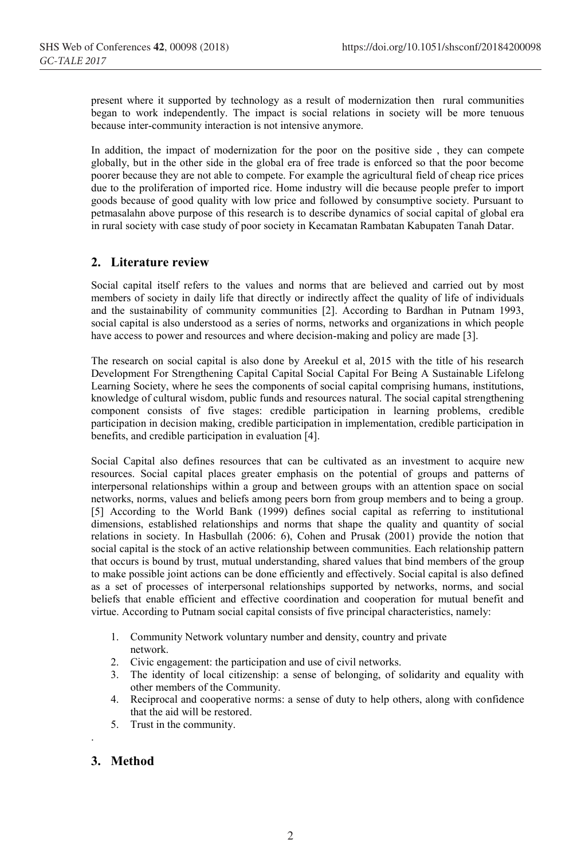present where it supported by technology as a result of modernization then rural communities began to work independently. The impact is social relations in society will be more tenuous because inter-community interaction is not intensive anymore.

In addition, the impact of modernization for the poor on the positive side , they can compete globally, but in the other side in the global era of free trade is enforced so that the poor become poorer because they are not able to compete. For example the agricultural field of cheap rice prices due to the proliferation of imported rice. Home industry will die because people prefer to import goods because of good quality with low price and followed by consumptive society. Pursuant to petmasalahn above purpose of this research is to describe dynamics of social capital of global era in rural society with case study of poor society in Kecamatan Rambatan Kabupaten Tanah Datar.

## **2. Literature review**

Social capital itself refers to the values and norms that are believed and carried out by most members of society in daily life that directly or indirectly affect the quality of life of individuals and the sustainability of community communities [2]. According to Bardhan in Putnam 1993, social capital is also understood as a series of norms, networks and organizations in which people have access to power and resources and where decision-making and policy are made [3].

The research on social capital is also done by Areekul et al, 2015 with the title of his research Development For Strengthening Capital Capital Social Capital For Being A Sustainable Lifelong Learning Society, where he sees the components of social capital comprising humans, institutions, knowledge of cultural wisdom, public funds and resources natural. The social capital strengthening component consists of five stages: credible participation in learning problems, credible participation in decision making, credible participation in implementation, credible participation in benefits, and credible participation in evaluation [4].

Social Capital also defines resources that can be cultivated as an investment to acquire new resources. Social capital places greater emphasis on the potential of groups and patterns of interpersonal relationships within a group and between groups with an attention space on social networks, norms, values and beliefs among peers born from group members and to being a group. [5] According to the World Bank (1999) defines social capital as referring to institutional dimensions, established relationships and norms that shape the quality and quantity of social relations in society. In Hasbullah (2006: 6), Cohen and Prusak (2001) provide the notion that social capital is the stock of an active relationship between communities. Each relationship pattern that occurs is bound by trust, mutual understanding, shared values that bind members of the group to make possible joint actions can be done efficiently and effectively. Social capital is also defined as a set of processes of interpersonal relationships supported by networks, norms, and social beliefs that enable efficient and effective coordination and cooperation for mutual benefit and virtue. According to Putnam social capital consists of five principal characteristics, namely:

- 1. Community Network voluntary number and density, country and private network.
- 2. Civic engagement: the participation and use of civil networks.
- 3. The identity of local citizenship: a sense of belonging, of solidarity and equality with other members of the Community.
- 4. Reciprocal and cooperative norms: a sense of duty to help others, along with confidence that the aid will be restored.
- 5. Trust in the community.

### **3. Method**

.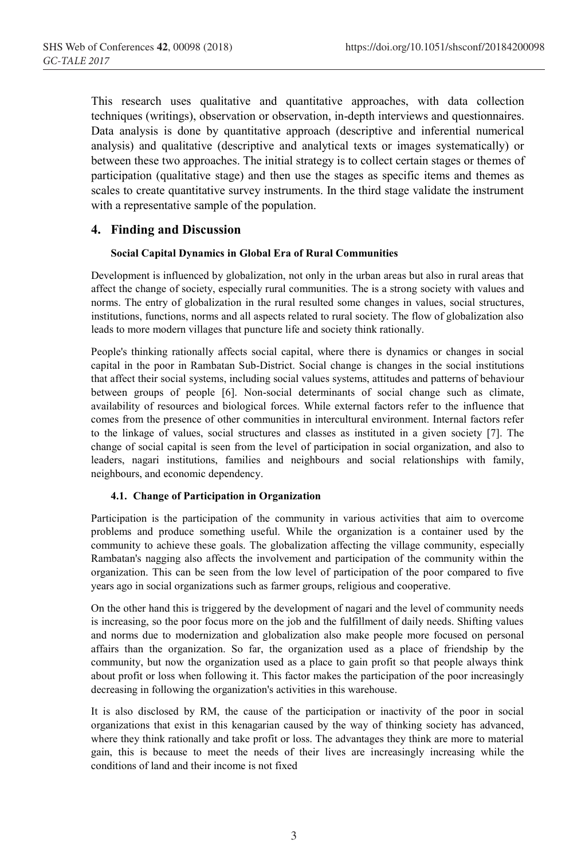This research uses qualitative and quantitative approaches, with data collection techniques (writings), observation or observation, in-depth interviews and questionnaires. Data analysis is done by quantitative approach (descriptive and inferential numerical analysis) and qualitative (descriptive and analytical texts or images systematically) or between these two approaches. The initial strategy is to collect certain stages or themes of participation (qualitative stage) and then use the stages as specific items and themes as scales to create quantitative survey instruments. In the third stage validate the instrument with a representative sample of the population.

## **4. Finding and Discussion**

#### **Social Capital Dynamics in Global Era of Rural Communities**

Development is influenced by globalization, not only in the urban areas but also in rural areas that affect the change of society, especially rural communities. The is a strong society with values and norms. The entry of globalization in the rural resulted some changes in values, social structures, institutions, functions, norms and all aspects related to rural society. The flow of globalization also leads to more modern villages that puncture life and society think rationally.

People's thinking rationally affects social capital, where there is dynamics or changes in social capital in the poor in Rambatan Sub-District. Social change is changes in the social institutions that affect their social systems, including social values systems, attitudes and patterns of behaviour between groups of people [6]. Non-social determinants of social change such as climate, availability of resources and biological forces. While external factors refer to the influence that comes from the presence of other communities in intercultural environment. Internal factors refer to the linkage of values, social structures and classes as instituted in a given society [7]. The change of social capital is seen from the level of participation in social organization, and also to leaders, nagari institutions, families and neighbours and social relationships with family, neighbours, and economic dependency.

#### **4.1. Change of Participation in Organization**

Participation is the participation of the community in various activities that aim to overcome problems and produce something useful. While the organization is a container used by the community to achieve these goals. The globalization affecting the village community, especially Rambatan's nagging also affects the involvement and participation of the community within the organization. This can be seen from the low level of participation of the poor compared to five years ago in social organizations such as farmer groups, religious and cooperative.

On the other hand this is triggered by the development of nagari and the level of community needs is increasing, so the poor focus more on the job and the fulfillment of daily needs. Shifting values and norms due to modernization and globalization also make people more focused on personal affairs than the organization. So far, the organization used as a place of friendship by the community, but now the organization used as a place to gain profit so that people always think about profit or loss when following it. This factor makes the participation of the poor increasingly decreasing in following the organization's activities in this warehouse.

It is also disclosed by RM, the cause of the participation or inactivity of the poor in social organizations that exist in this kenagarian caused by the way of thinking society has advanced, where they think rationally and take profit or loss. The advantages they think are more to material gain, this is because to meet the needs of their lives are increasingly increasing while the conditions of land and their income is not fixed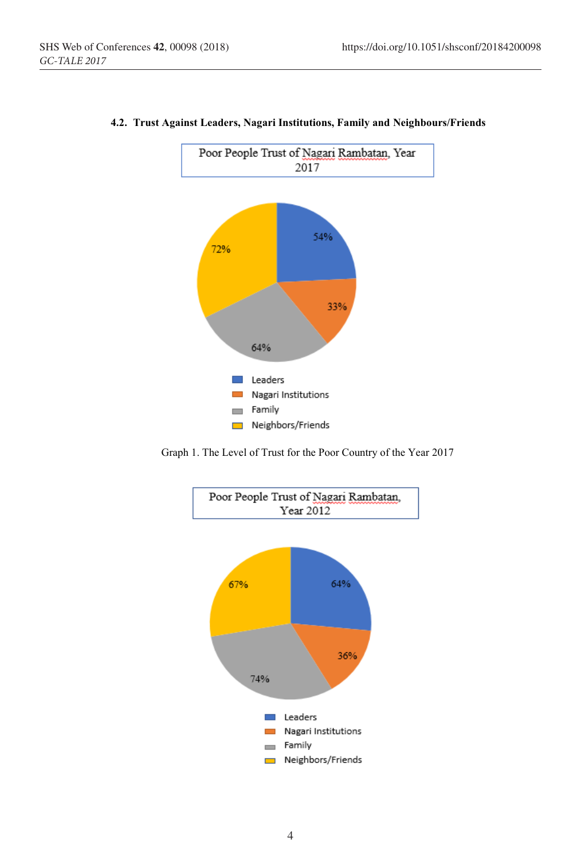

## **4.2. Trust Against Leaders, Nagari Institutions, Family and Neighbours/Friends**

Graph 1. The Level of Trust for the Poor Country of the Year 2017

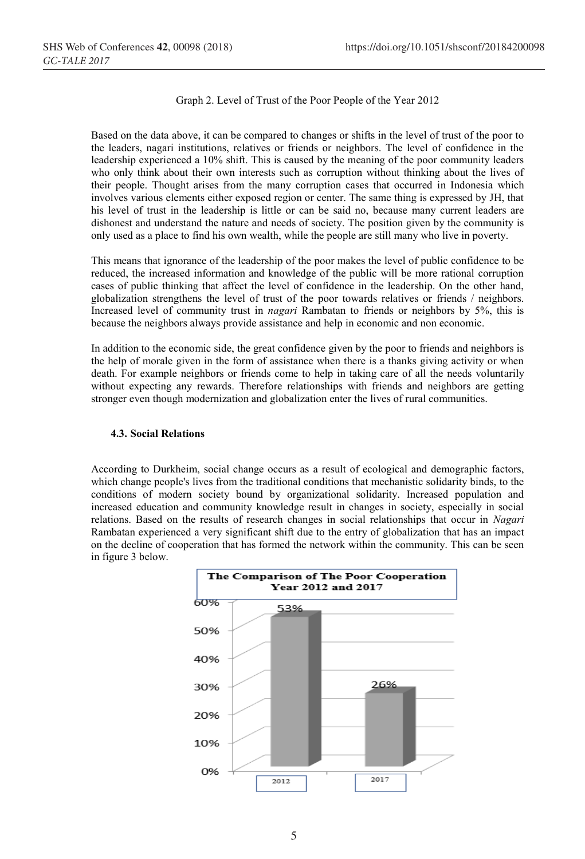#### Graph 2. Level of Trust of the Poor People of the Year 2012

Based on the data above, it can be compared to changes or shifts in the level of trust of the poor to the leaders, nagari institutions, relatives or friends or neighbors. The level of confidence in the leadership experienced a 10% shift. This is caused by the meaning of the poor community leaders who only think about their own interests such as corruption without thinking about the lives of their people. Thought arises from the many corruption cases that occurred in Indonesia which involves various elements either exposed region or center. The same thing is expressed by JH, that his level of trust in the leadership is little or can be said no, because many current leaders are dishonest and understand the nature and needs of society. The position given by the community is only used as a place to find his own wealth, while the people are still many who live in poverty.

This means that ignorance of the leadership of the poor makes the level of public confidence to be reduced, the increased information and knowledge of the public will be more rational corruption cases of public thinking that affect the level of confidence in the leadership. On the other hand, globalization strengthens the level of trust of the poor towards relatives or friends / neighbors. Increased level of community trust in *nagari* Rambatan to friends or neighbors by 5%, this is because the neighbors always provide assistance and help in economic and non economic.

In addition to the economic side, the great confidence given by the poor to friends and neighbors is the help of morale given in the form of assistance when there is a thanks giving activity or when death. For example neighbors or friends come to help in taking care of all the needs voluntarily without expecting any rewards. Therefore relationships with friends and neighbors are getting stronger even though modernization and globalization enter the lives of rural communities.

#### **4.3. Social Relations**

According to Durkheim, social change occurs as a result of ecological and demographic factors, which change people's lives from the traditional conditions that mechanistic solidarity binds, to the conditions of modern society bound by organizational solidarity. Increased population and increased education and community knowledge result in changes in society, especially in social relations. Based on the results of research changes in social relationships that occur in *Nagari* Rambatan experienced a very significant shift due to the entry of globalization that has an impact on the decline of cooperation that has formed the network within the community. This can be seen in figure 3 below.

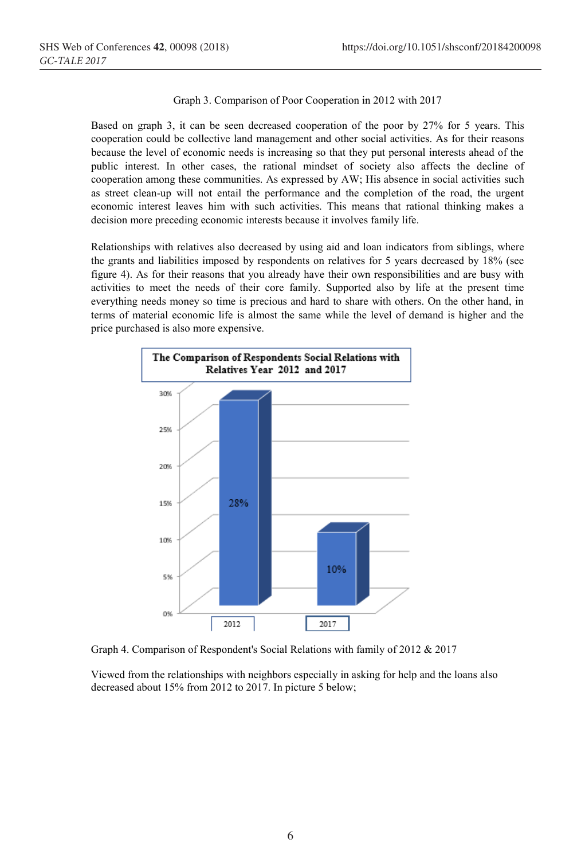#### Graph 3. Comparison of Poor Cooperation in 2012 with 2017

Based on graph 3, it can be seen decreased cooperation of the poor by 27% for 5 years. This cooperation could be collective land management and other social activities. As for their reasons because the level of economic needs is increasing so that they put personal interests ahead of the public interest. In other cases, the rational mindset of society also affects the decline of cooperation among these communities. As expressed by AW; His absence in social activities such as street clean-up will not entail the performance and the completion of the road, the urgent economic interest leaves him with such activities. This means that rational thinking makes a decision more preceding economic interests because it involves family life.

Relationships with relatives also decreased by using aid and loan indicators from siblings, where the grants and liabilities imposed by respondents on relatives for 5 years decreased by 18% (see figure 4). As for their reasons that you already have their own responsibilities and are busy with activities to meet the needs of their core family. Supported also by life at the present time everything needs money so time is precious and hard to share with others. On the other hand, in terms of material economic life is almost the same while the level of demand is higher and the price purchased is also more expensive.



Graph 4. Comparison of Respondent's Social Relations with family of 2012 & 2017

Viewed from the relationships with neighbors especially in asking for help and the loans also decreased about 15% from 2012 to 2017. In picture 5 below;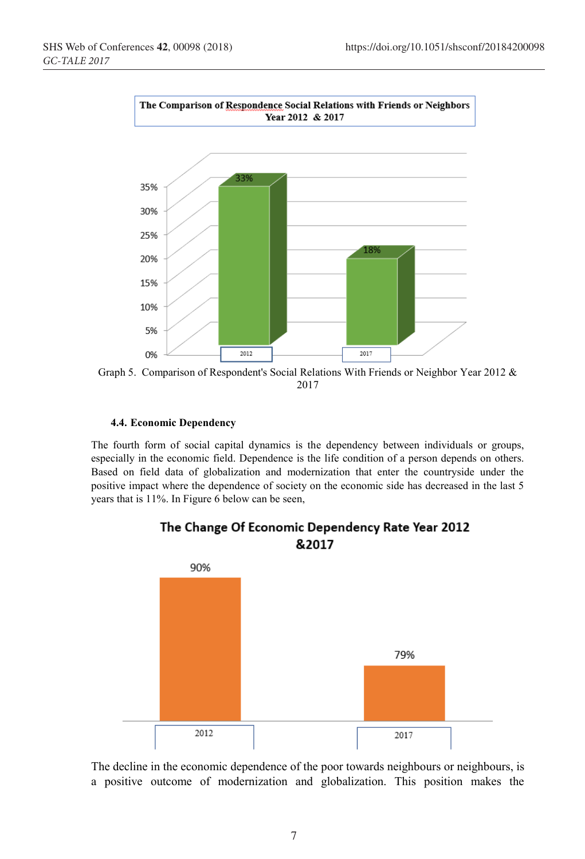

Graph 5. Comparison of Respondent's Social Relations With Friends or Neighbor Year 2012 & 2017

#### **4.4. Economic Dependency**

The fourth form of social capital dynamics is the dependency between individuals or groups, especially in the economic field. Dependence is the life condition of a person depends on others. Based on field data of globalization and modernization that enter the countryside under the positive impact where the dependence of society on the economic side has decreased in the last 5 years that is 11%. In Figure 6 below can be seen,



# The Change Of Economic Dependency Rate Year 2012 &2017

The decline in the economic dependence of the poor towards neighbours or neighbours, is a positive outcome of modernization and globalization. This position makes the